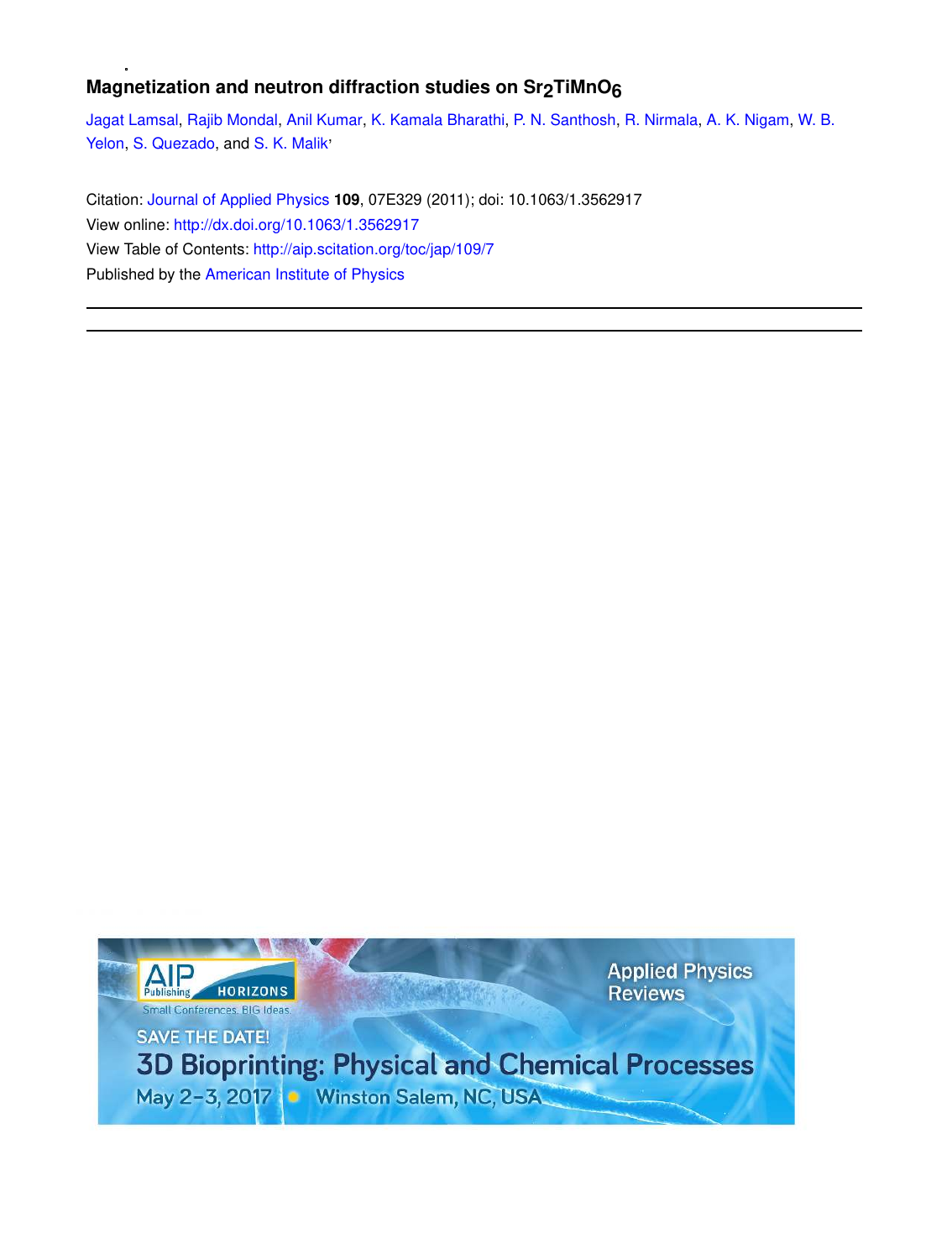## **Magnetization and neutron diffraction studies on Sr2TiMnO6**

Jagat Lamsal, Rajib Mondal, Anil Kumar, K. Kamala Bharathi, P. N. Santhosh, R. Nirmala, A. K. Nigam, W. B. Yelon, S. Quezado, and S. K. Malik<sup>\*</sup>

Citation: Journal of Applied Physics **109**, 07E329 (2011); doi: 10.1063/1.3562917 View online: http://dx.doi.org/10.1063/1.3562917 View Table of Contents: http://aip.scitation.org/toc/jap/109/7 Published by the American Institute of Physics

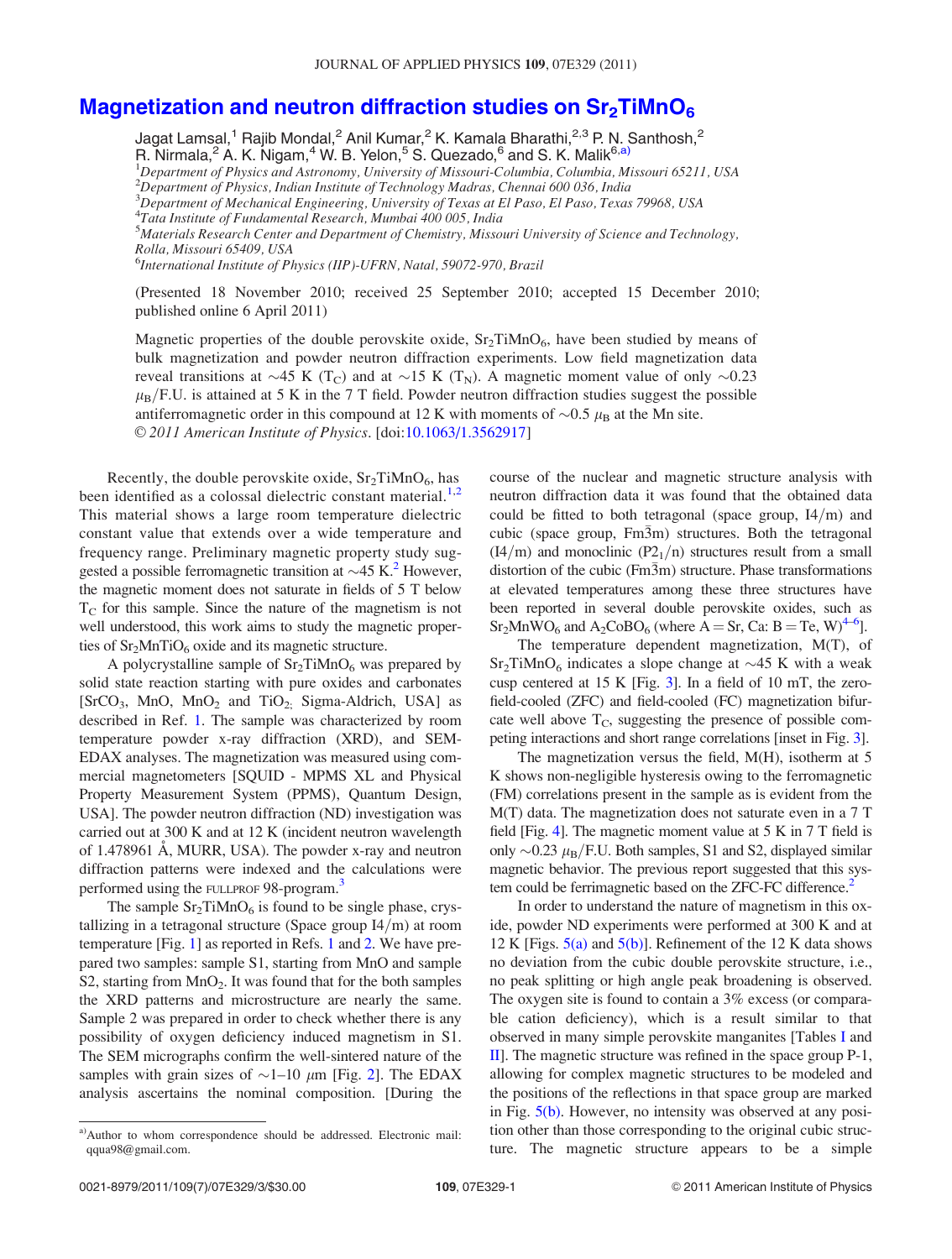## Magnetization and neutron diffraction studies on  $Sr<sub>2</sub>TiMnO<sub>6</sub>$

Jagat Lamsal,<sup>1</sup> Rajib Mondal,<sup>2</sup> Anil Kumar,<sup>2</sup> K. Kamala Bharathi,<sup>2,3</sup> P. N. Santhosh,<sup>2</sup> R. Nirmala,<sup>2</sup> A. K. Nigam,<sup>4</sup> W. B. Yelon,<sup>5</sup> S. Quezado,<sup>6</sup> and S. K. Malik<sup>6,a)</sup>  ${}^{1}$ Department of Physics and Astronomy, University of Missouri-Columbia, Columbia, Missouri 65211, USA

 $^{2}$ Department of Physics, Indian Institute of Technology Madras, Chennai 600 036, India

 $^3$ Department of Mechanical Engineering, University of Texas at El Paso, El Paso, Texas 79968, USA

<sup>4</sup>Tata Institute of Fundamental Research, Mumbai 400 005, India

 $^5$ Materials Research Center and Department of Chemistry, Missouri University of Science and Technology, Rolla, Missouri 65409, USA

<sup>6</sup>International Institute of Physics (IIP)-UFRN, Natal, 59072-970, Brazil

(Presented 18 November 2010; received 25 September 2010; accepted 15 December 2010; published online 6 April 2011)

Magnetic properties of the double perovskite oxide,  $Sr<sub>2</sub>TiMnO<sub>6</sub>$ , have been studied by means of bulk magnetization and powder neutron diffraction experiments. Low field magnetization data reveal transitions at  $\sim$ 45 K (T<sub>C</sub>) and at  $\sim$ 15 K (T<sub>N</sub>). A magnetic moment value of only  $\sim$ 0.23  $\mu_{\rm B}/F$ .U. is attained at 5 K in the 7 T field. Powder neutron diffraction studies suggest the possible antiferromagnetic order in this compound at 12 K with moments of  $\sim 0.5 \mu_{\rm B}$  at the Mn site. V<sup>C</sup> 2011 American Institute of Physics. [doi:10.1063/1.3562917]

Recently, the double perovskite oxide,  $Sr<sub>2</sub>TiMnO<sub>6</sub>$ , has been identified as a colossal dielectric constant material.<sup>1,2</sup> This material shows a large room temperature dielectric constant value that extends over a wide temperature and frequency range. Preliminary magnetic property study suggested a possible ferromagnetic transition at  $\sim$  45 K.<sup>2</sup> However, the magnetic moment does not saturate in fields of 5 T below  $T<sub>C</sub>$  for this sample. Since the nature of the magnetism is not well understood, this work aims to study the magnetic properties of  $Sr<sub>2</sub>MnTiO<sub>6</sub>$  oxide and its magnetic structure.

A polycrystalline sample of  $Sr_2TiMnO_6$  was prepared by solid state reaction starting with pure oxides and carbonates [SrCO<sub>3</sub>, MnO, MnO<sub>2</sub> and TiO<sub>2;</sub> Sigma-Aldrich, USA] as described in Ref. 1. The sample was characterized by room temperature powder x-ray diffraction (XRD), and SEM-EDAX analyses. The magnetization was measured using commercial magnetometers [SQUID - MPMS XL and Physical Property Measurement System (PPMS), Quantum Design, USA]. The powder neutron diffraction (ND) investigation was carried out at 300 K and at 12 K (incident neutron wavelength of 1.478961 Å, MURR, USA). The powder x-ray and neutron diffraction patterns were indexed and the calculations were performed using the FULLPROF 98-program.<sup>3</sup>

The sample  $Sr<sub>2</sub>TiMnO<sub>6</sub>$  is found to be single phase, crystallizing in a tetragonal structure (Space group  $I4/m$ ) at room temperature [Fig. 1] as reported in Refs. 1 and 2. We have prepared two samples: sample S1, starting from MnO and sample S2, starting from  $MnO<sub>2</sub>$ . It was found that for the both samples the XRD patterns and microstructure are nearly the same. Sample 2 was prepared in order to check whether there is any possibility of oxygen deficiency induced magnetism in S1. The SEM micrographs confirm the well-sintered nature of the samples with grain sizes of  $\sim$ 1–10  $\mu$ m [Fig. 2]. The EDAX analysis ascertains the nominal composition. [During the course of the nuclear and magnetic structure analysis with neutron diffraction data it was found that the obtained data could be fitted to both tetragonal (space group,  $I4/m$ ) and cubic (space group,  $Fm\overline{3}m$ ) structures. Both the tetragonal  $(14/m)$  and monoclinic  $(P2<sub>1</sub>/n)$  structures result from a small distortion of the cubic ( $F_{1/1}^{(1)}/m$ ) structure. Phase transformations at elevated temperatures among these three structures have been reported in several double perovskite oxides, such as  $Sr<sub>2</sub>MnWO<sub>6</sub>$  and A<sub>2</sub>CoBO<sub>6</sub> (where A = Sr, Ca: B = Te, W)<sup>4–6</sup>].

The temperature dependent magnetization, M(T), of  $Sr<sub>2</sub>TiMnO<sub>6</sub>$  indicates a slope change at  $\sim$  45 K with a weak cusp centered at 15 K [Fig. 3]. In a field of 10 mT, the zerofield-cooled (ZFC) and field-cooled (FC) magnetization bifurcate well above  $T_c$ , suggesting the presence of possible competing interactions and short range correlations [inset in Fig. 3].

The magnetization versus the field, M(H), isotherm at 5 K shows non-negligible hysteresis owing to the ferromagnetic (FM) correlations present in the sample as is evident from the M(T) data. The magnetization does not saturate even in a 7 T field [Fig. 4]. The magnetic moment value at 5 K in 7 T field is only  $\sim$ 0.23  $\mu$ <sub>B</sub>/F.U. Both samples, S1 and S2, displayed similar magnetic behavior. The previous report suggested that this system could be ferrimagnetic based on the ZFC-FC difference.<sup>2</sup>

In order to understand the nature of magnetism in this oxide, powder ND experiments were performed at 300 K and at 12 K [Figs.  $5(a)$  and  $5(b)$ ]. Refinement of the 12 K data shows no deviation from the cubic double perovskite structure, i.e., no peak splitting or high angle peak broadening is observed. The oxygen site is found to contain a 3% excess (or comparable cation deficiency), which is a result similar to that observed in many simple perovskite manganites [Tables I and II]. The magnetic structure was refined in the space group P-1, allowing for complex magnetic structures to be modeled and the positions of the reflections in that space group are marked in Fig. 5(b). However, no intensity was observed at any position other than those corresponding to the original cubic structure. The magnetic structure appears to be a simple

a)Author to whom correspondence should be addressed. Electronic mail: qqua98@gmail.com.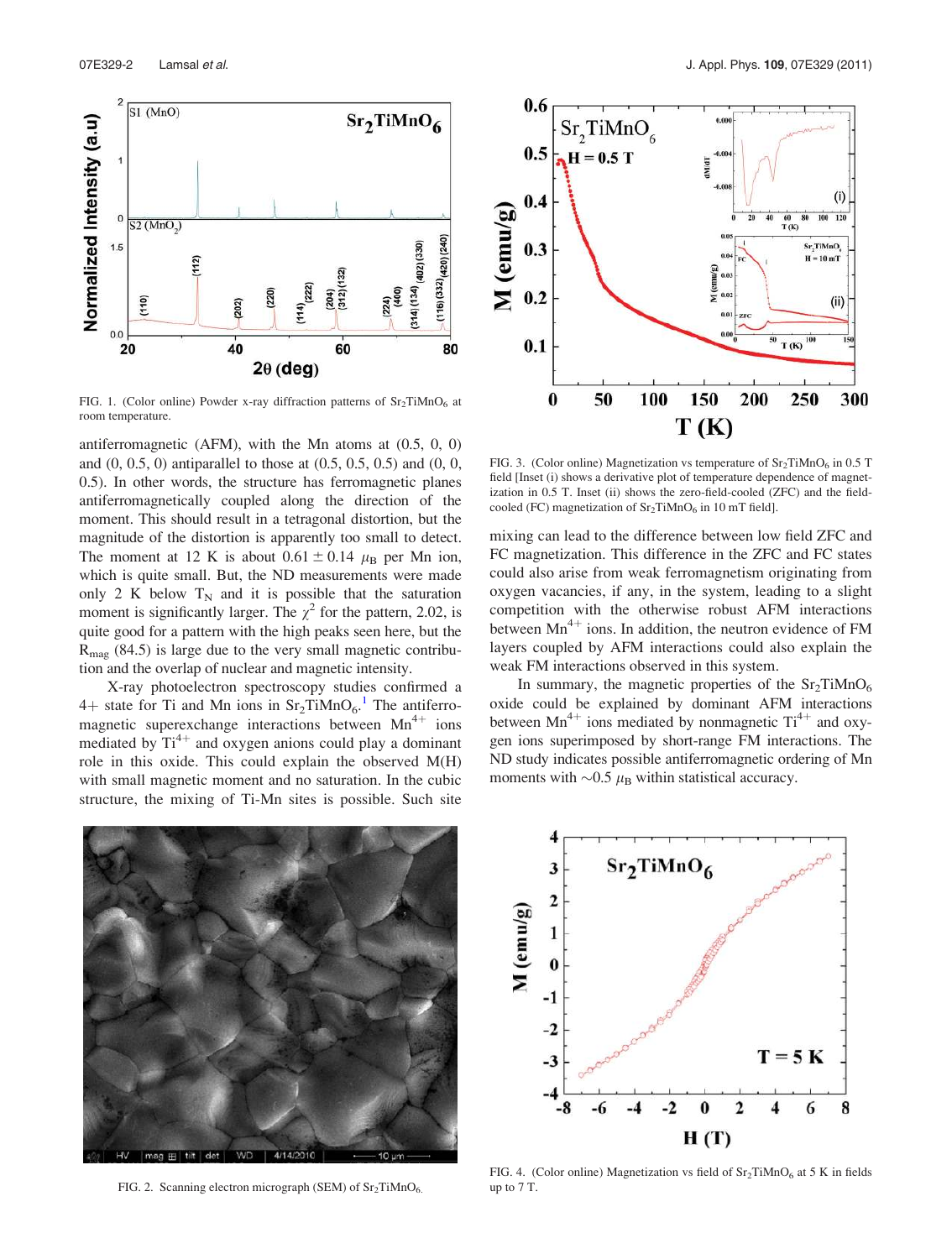

FIG. 1. (Color online) Powder x-ray diffraction patterns of  $Sr_2TiMnO<sub>6</sub>$  at room temperature.

antiferromagnetic (AFM), with the Mn atoms at (0.5, 0, 0) and (0, 0.5, 0) antiparallel to those at (0.5, 0.5, 0.5) and (0, 0, 0.5). In other words, the structure has ferromagnetic planes antiferromagnetically coupled along the direction of the moment. This should result in a tetragonal distortion, but the magnitude of the distortion is apparently too small to detect. The moment at 12 K is about  $0.61 \pm 0.14$   $\mu_B$  per Mn ion, which is quite small. But, the ND measurements were made only 2 K below  $T_N$  and it is possible that the saturation moment is significantly larger. The  $\chi^2$  for the pattern, 2.02, is quite good for a pattern with the high peaks seen here, but the  $R_{\text{mag}}$  (84.5) is large due to the very small magnetic contribution and the overlap of nuclear and magnetic intensity.

X-ray photoelectron spectroscopy studies confirmed a  $4+$  state for Ti and Mn ions in  $Sr_2TiMnO<sub>6</sub>.<sup>1</sup>$  The antiferromagnetic superexchange interactions between  $Mn^{4+}$  ions mediated by  $Ti^{4+}$  and oxygen anions could play a dominant role in this oxide. This could explain the observed M(H) with small magnetic moment and no saturation. In the cubic structure, the mixing of Ti-Mn sites is possible. Such site



FIG. 3. (Color online) Magnetization vs temperature of  $Sr_2TiMnO<sub>6</sub>$  in 0.5 T field [Inset (i) shows a derivative plot of temperature dependence of magnetization in 0.5 T. Inset (ii) shows the zero-field-cooled (ZFC) and the fieldcooled (FC) magnetization of  $Sr_2TiMnO_6$  in 10 mT field].

mixing can lead to the difference between low field ZFC and FC magnetization. This difference in the ZFC and FC states could also arise from weak ferromagnetism originating from oxygen vacancies, if any, in the system, leading to a slight competition with the otherwise robust AFM interactions between  $Mn^{4+}$  ions. In addition, the neutron evidence of FM layers coupled by AFM interactions could also explain the weak FM interactions observed in this system.

In summary, the magnetic properties of the  $Sr<sub>2</sub>TiMnO<sub>6</sub>$ oxide could be explained by dominant AFM interactions between  $\text{Mn}^{4+}$  ions mediated by nonmagnetic Ti<sup>4+</sup> and oxygen ions superimposed by short-range FM interactions. The ND study indicates possible antiferromagnetic ordering of Mn moments with  ${\sim}0.5 \mu_{\rm B}$  within statistical accuracy.



FIG. 2. Scanning electron micrograph (SEM) of  $Sr_2TiMnO<sub>6</sub>$ .



FIG. 4. (Color online) Magnetization vs field of  $Sr<sub>2</sub>TiMnO<sub>6</sub>$  at 5 K in fields up to 7 T.